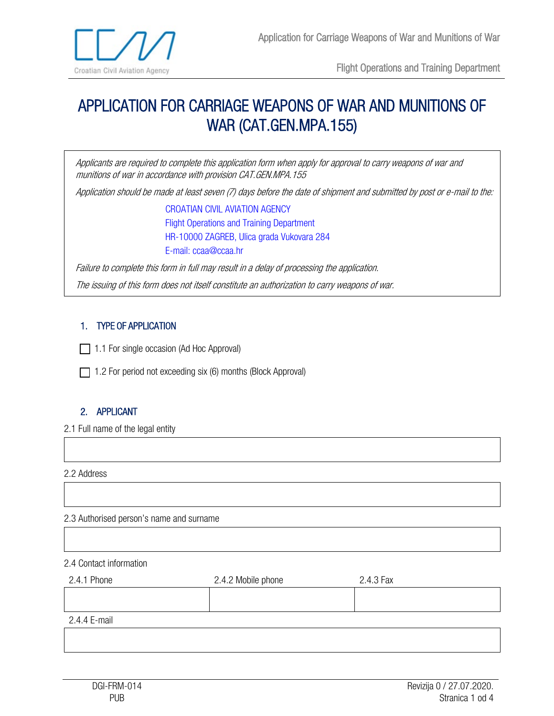

Flight Operations and Training Department

# APPLICATION FOR CARRIAGE WEAPONS OF WAR AND MUNITIONS OF WAR (CAT.GEN.MPA.155)

Applicants are required to complete this application form when apply for approval to carry weapons of war and munitions of war in accordance with provision CAT.GEN.MPA.155

Application should be made at least seven (7) days before the date of shipment and submitted by post or e-mail to the:

CROATIAN CIVIL AVIATION AGENCY Flight Operations and Training Department HR-10000 ZAGREB, Ulica grada Vukovara 284 E-mail: ccaa@ccaa.hr

Failure to complete this form in full may result in a delay of processing the application.

The issuing of this form does not itself constitute an authorization to carry weapons of war.

## 1. TYPE OF APPLICATION

 $\Box$  1.1 For single occasion (Ad Hoc Approval)

1.2 For period not exceeding six (6) months (Block Approval)

# 2. APPLICANT

2.1 Full name of the legal entity

2.2 Address

#### 2.3 Authorised person's name and surname

#### 2.4 Contact information

| 2.4.1 Phone  | 2.4.2 Mobile phone | 2.4.3 Fax |
|--------------|--------------------|-----------|
|              |                    |           |
| 2.4.4 E-mail |                    |           |
|              |                    |           |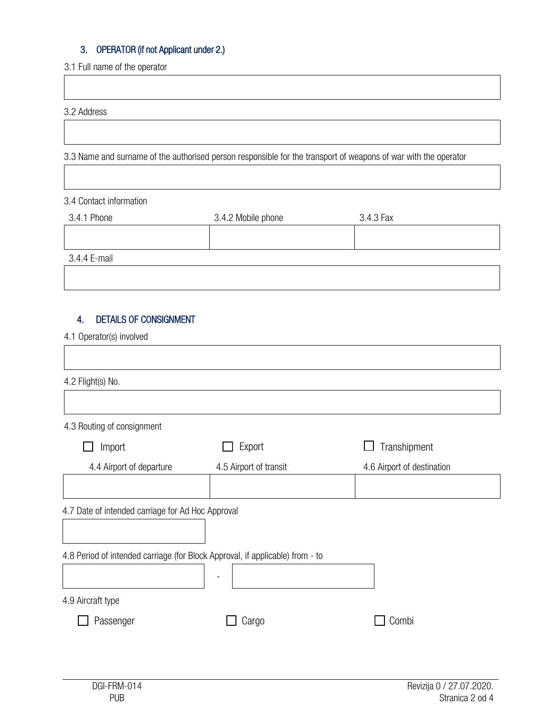# 3. OPERATOR (if not Applicant under 2.)

3.1 Full name of the operator

3.2 Address

3.3 Name and surname of the authorised person responsible for the transport of weapons of war with the operator

#### 3.4 Contact information

| 3.4.1 Phone  | 3.4.2 Mobile phone | 3.4.3 Fax |
|--------------|--------------------|-----------|
|              |                    |           |
| 3.4.4 E-mail |                    |           |

# 4. DETAILS OF CONSIGNMENT

4.1 Operator(s) involved

| 4.2 Flight(s) No.                                 |                                                                               |                            |
|---------------------------------------------------|-------------------------------------------------------------------------------|----------------------------|
|                                                   |                                                                               |                            |
| 4.3 Routing of consignment                        |                                                                               |                            |
| Import                                            | Export                                                                        | Transhipment               |
| 4.4 Airport of departure                          | 4.5 Airport of transit                                                        | 4.6 Airport of destination |
|                                                   |                                                                               |                            |
| 4.7 Date of intended carriage for Ad Hoc Approval |                                                                               |                            |
|                                                   |                                                                               |                            |
|                                                   | 4.8 Period of intended carriage (for Block Approval, if applicable) from - to |                            |
|                                                   |                                                                               |                            |
| 4.9 Aircraft type                                 |                                                                               |                            |
| Passenger                                         | Cargo                                                                         | Combi                      |
|                                                   |                                                                               |                            |
|                                                   |                                                                               |                            |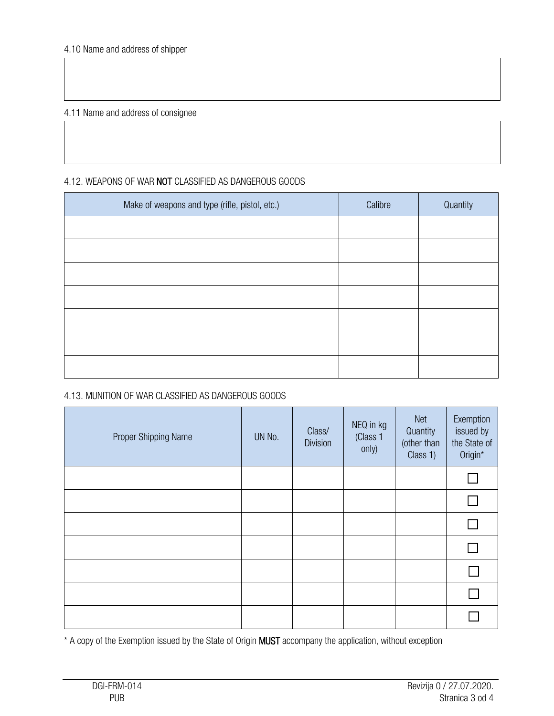4.11 Name and address of consignee

## 4.12. WEAPONS OF WAR NOT CLASSIFIED AS DANGEROUS GOODS

| Make of weapons and type (rifle, pistol, etc.) | Calibre | Quantity |
|------------------------------------------------|---------|----------|
|                                                |         |          |
|                                                |         |          |
|                                                |         |          |
|                                                |         |          |
|                                                |         |          |
|                                                |         |          |
|                                                |         |          |

## 4.13. MUNITION OF WAR CLASSIFIED AS DANGEROUS GOODS

| Proper Shipping Name | UN No. | Class/<br><b>Division</b> | NEQ in kg<br>(Class 1<br>only) | <b>Net</b><br>Quantity<br>(other than<br>Class 1) | Exemption<br>issued by<br>the State of<br>Origin* |
|----------------------|--------|---------------------------|--------------------------------|---------------------------------------------------|---------------------------------------------------|
|                      |        |                           |                                |                                                   |                                                   |
|                      |        |                           |                                |                                                   | П                                                 |
|                      |        |                           |                                |                                                   | $\Box$                                            |
|                      |        |                           |                                |                                                   | $\Box$                                            |
|                      |        |                           |                                |                                                   |                                                   |
|                      |        |                           |                                |                                                   |                                                   |
|                      |        |                           |                                |                                                   |                                                   |

\* A copy of the Exemption issued by the State of Origin MUST accompany the application, without exception